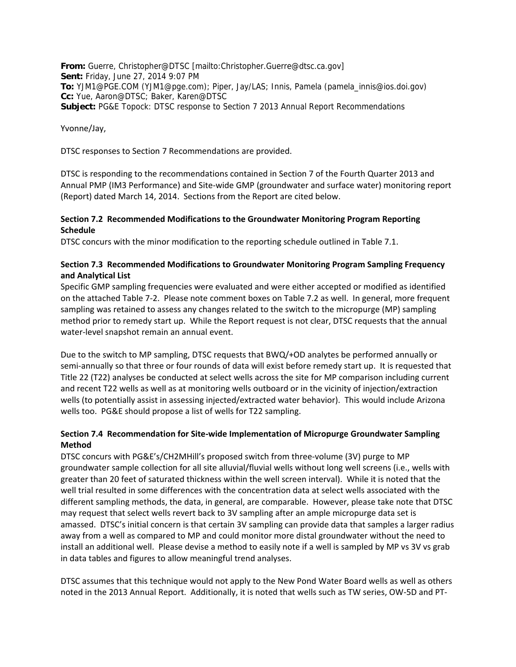**From:** Guerre, Christopher@DTSC [mailto:Christopher.Guerre@dtsc.ca.gov] **Sent:** Friday, June 27, 2014 9:07 PM **To:** YJM1@PGE.COM (YJM1@pge.com); Piper, Jay/LAS; Innis, Pamela (pamela\_innis@ios.doi.gov) **Cc:** Yue, Aaron@DTSC; Baker, Karen@DTSC **Subject:** PG&E Topock: DTSC response to Section 7 2013 Annual Report Recommendations

Yvonne/Jay,

DTSC responses to Section 7 Recommendations are provided.

DTSC is responding to the recommendations contained in Section 7 of the Fourth Quarter 2013 and Annual PMP (IM3 Performance) and Site‐wide GMP (groundwater and surface water) monitoring report (Report) dated March 14, 2014. Sections from the Report are cited below.

## **Section 7.2 Recommended Modifications to the Groundwater Monitoring Program Reporting Schedule**

DTSC concurs with the minor modification to the reporting schedule outlined in Table 7.1.

# **Section 7.3 Recommended Modifications to Groundwater Monitoring Program Sampling Frequency and Analytical List**

Specific GMP sampling frequencies were evaluated and were either accepted or modified as identified on the attached Table 7‐2. Please note comment boxes on Table 7.2 as well. In general, more frequent sampling was retained to assess any changes related to the switch to the micropurge (MP) sampling method prior to remedy start up. While the Report request is not clear, DTSC requests that the annual water‐level snapshot remain an annual event.

Due to the switch to MP sampling, DTSC requests that BWQ/+OD analytes be performed annually or semi-annually so that three or four rounds of data will exist before remedy start up. It is requested that Title 22 (T22) analyses be conducted at select wells across the site for MP comparison including current and recent T22 wells as well as at monitoring wells outboard or in the vicinity of injection/extraction wells (to potentially assist in assessing injected/extracted water behavior). This would include Arizona wells too. PG&E should propose a list of wells for T22 sampling.

# **Section 7.4 Recommendation for Site‐wide Implementation of Micropurge Groundwater Sampling Method**

DTSC concurs with PG&E's/CH2MHill's proposed switch from three‐volume (3V) purge to MP groundwater sample collection for all site alluvial/fluvial wells without long well screens (i.e., wells with greater than 20 feet of saturated thickness within the well screen interval). While it is noted that the well trial resulted in some differences with the concentration data at select wells associated with the different sampling methods, the data, in general, are comparable. However, please take note that DTSC may request that select wells revert back to 3V sampling after an ample micropurge data set is amassed. DTSC's initial concern is that certain 3V sampling can provide data that samples a larger radius away from a well as compared to MP and could monitor more distal groundwater without the need to install an additional well. Please devise a method to easily note if a well is sampled by MP vs 3V vs grab in data tables and figures to allow meaningful trend analyses.

DTSC assumes that this technique would not apply to the New Pond Water Board wells as well as others noted in the 2013 Annual Report. Additionally, it is noted that wells such as TW series, OW‐5D and PT‐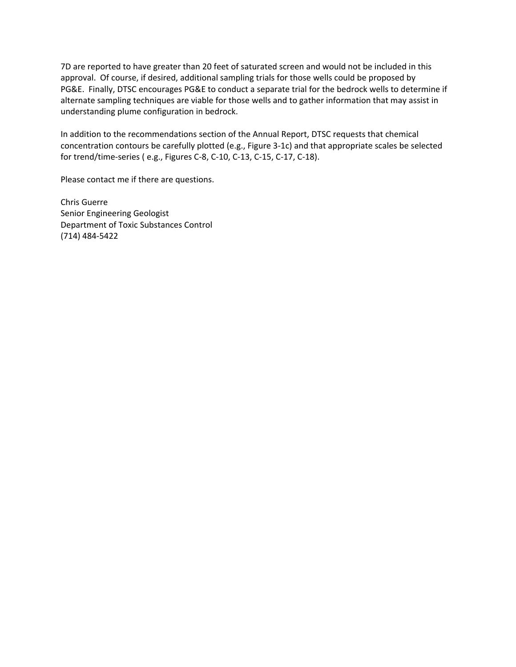7D are reported to have greater than 20 feet of saturated screen and would not be included in this approval. Of course, if desired, additional sampling trials for those wells could be proposed by PG&E. Finally, DTSC encourages PG&E to conduct a separate trial for the bedrock wells to determine if alternate sampling techniques are viable for those wells and to gather information that may assist in understanding plume configuration in bedrock.

In addition to the recommendations section of the Annual Report, DTSC requests that chemical concentration contours be carefully plotted (e.g., Figure 3‐1c) and that appropriate scales be selected for trend/time‐series ( e.g., Figures C‐8, C‐10, C‐13, C‐15, C‐17, C‐18).

Please contact me if there are questions.

Chris Guerre Senior Engineering Geologist Department of Toxic Substances Control (714) 484‐5422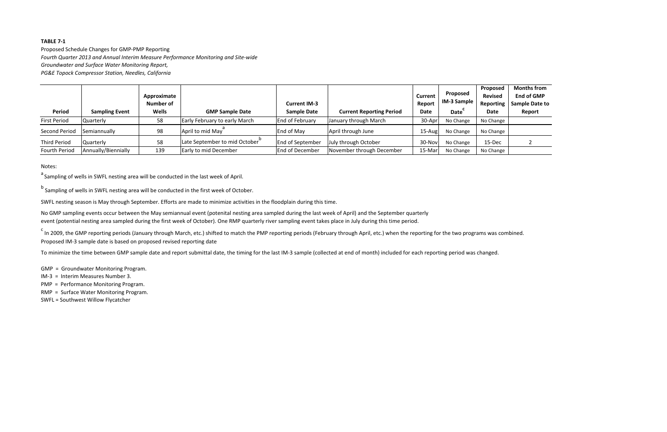Proposed Schedule Changes for GMP‐PMP Reporting *Fourth Quarter 2013 and Annual Interim Measure Performance Monitoring and Site‐wide Groundwater and Surface Water Monitoring Report,*

*PG&E Topock Compressor Station, Needles, California*

|                      |                       | Approximate<br><b>Number of</b> |                                      | <b>Current IM-3</b>     |                                 | <b>Current</b><br>Report | Proposed<br>IM-3 Sample | Proposed<br><b>Revised</b><br><b>Reporting</b> | <b>Months from</b><br><b>End of GMP</b><br><b>Sample Date to</b> |
|----------------------|-----------------------|---------------------------------|--------------------------------------|-------------------------|---------------------------------|--------------------------|-------------------------|------------------------------------------------|------------------------------------------------------------------|
| <b>Period</b>        | <b>Sampling Event</b> | Wells                           | <b>GMP Sample Date</b>               | <b>Sample Date</b>      | <b>Current Reporting Period</b> | Date                     | Date                    | Date                                           | Report                                                           |
| <b>First Period</b>  | Quarterly             | 58                              | <b>Early February to early March</b> | <b>End of February</b>  | January through March           | 30-Apr                   | No Change               | No Change                                      |                                                                  |
| <b>Second Period</b> | Semiannually          | 98                              | April to mid May                     | End of May              | April through June              | $15 - Aug$               | No Change               | No Change                                      |                                                                  |
| <b>Third Period</b>  | Quarterly             | 58                              | Late September to mid October        | <b>End of September</b> | July through October            | 30-Nov                   | No Change               | 15-Dec                                         |                                                                  |
| <b>Fourth Period</b> | Annually/Biennially   | 139                             | Early to mid December                | <b>End of December</b>  | November through December       | 15-Mar                   | No Change               | No Change                                      |                                                                  |

<sup>c</sup> In 2009, the GMP reporting periods (January through March, etc.) shifted to match the PMP reporting periods (February through April, etc.) when the reporting for the two programs was combined. Proposed IM‐3 sample date is based on proposed revised reporting date

Notes:

<sup>a</sup> Sampling of wells in SWFL nesting area will be conducted in the last week of April.

<sup>b</sup> Sampling of wells in SWFL nesting area will be conducted in the first week of October.

SWFL nesting season is May through September. Efforts are made to minimize activities in the floodplain during this time.

No GMP sampling events occur between the May semiannual event (potenital nesting area sampled during the last week of April) and the September quarterly event (potential nesting area sampled during the first week of October). One RMP quarterly river sampling event takes place in July during this time period.

To minimize the time between GMP sample date and report submittal date, the timing for the last IM‐3 sample (collected at end of month) included for each reporting period was changed.

GMP <sup>=</sup> Groundwater Monitoring Program.

- IM‐3 <sup>=</sup> Interim Measures Number 3.
- PMP <sup>=</sup> Performance Monitoring Program.
- RMP <sup>=</sup> Surface Water Monitoring Program.

SWFL <sup>=</sup> Southwest Willow Flycatcher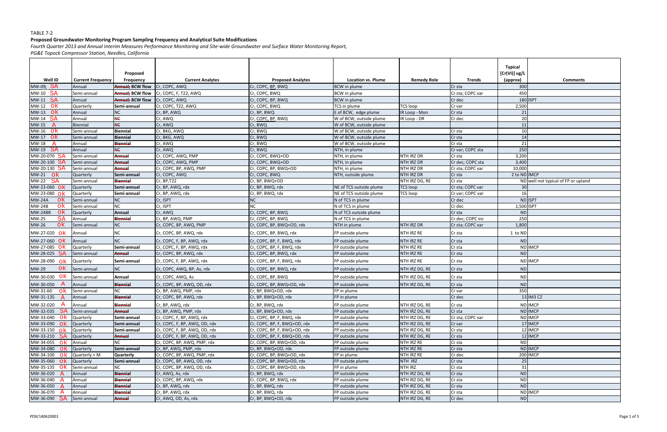### **Proposed Groundwater Monitoring Program Sampling Frequency and Analytical Suite Modifications**

Fourth Quarter 2013 and Annual Interim Measures Performance Monitoring and Site-wide Groundwater and Surface Water Monitoring Report,

| Well ID                  | <b>Current Frequency</b> | Proposed<br><b>Frequency</b> | <b>Current Analytes</b>       | <b>Proposed Analytes</b>     | Location vs. Plume      | <b>Remedy Role</b> | <b>Trends</b>     | <b>Typical</b><br>[Cr(VI)] ug/L<br>(approx) | <b>Comments</b>                     |
|--------------------------|--------------------------|------------------------------|-------------------------------|------------------------------|-------------------------|--------------------|-------------------|---------------------------------------------|-------------------------------------|
| $MW-09$ $SA$             | Annual                   | <b>Annual</b> ; BCW flow     | Cr, COPC, AWQ                 | Cr, COPC, BP, BWQ            | <b>BCW</b> in plume     |                    | Cr sta            | 300                                         |                                     |
| MW-10<br>SA              | Semi-annual              | <b>Annual: BCW flow</b>      | Cr, COPC, F, T22, AWQ         | Cr, COPC, BWQ                | <b>BCW</b> in plume     |                    | Cr sta; COPC var  | 450                                         |                                     |
| <b>MW-11 SA</b>          | Annual                   | <b>Annual</b> ; BCW flow     | Cr, COPC, AWQ                 | Cr, COPC, BP, BWQ            | <b>BCW</b> in plume     |                    | Cr dec            |                                             | 180 ISPT                            |
| $MW-12$ OK               | Quarterly                | Semi-annual                  | Cr, COPC, T22, AWQ            | Cr, COPC, BWQ                | TCS in plume            | <b>TCS loop</b>    | Cr var            | 2,500                                       |                                     |
| MW-13<br>ok              | Annual                   | <b>NC</b>                    | Cr, BP, AWQ                   | Cr, BP, BWQ                  | E of BCW, edge plume    | IR Loop - Mon      | Cr sta            | 21                                          |                                     |
| SA<br>MW-14              | Annual                   | <b>NC</b>                    | Cr, AWQ                       | Cr, COPC, BP, BWQ            | W of BCW, outside plume | IR Loop - DR       | Cr dec            | 20                                          |                                     |
| MW-15<br>- Z             | <b>Biennial</b>          | <b>NE</b>                    | Cr, AWQ                       | Cr, BWQ                      | W of BCW, outside plume |                    |                   | 11                                          |                                     |
| ok<br>MW-16              | Semi-annual              | <b>Biennial</b>              | Cr, BKG, AWQ                  | Cr, BWQ                      | W of BCW, outside plume |                    | Cr sta            | 10                                          |                                     |
| MW-17<br>-ok             | Semi-annual              | <b>Biennial</b>              | Cr, BKG, AWQ                  | Cr, BWQ                      | W of BCW, outside plume |                    | Cr sta            | 14                                          |                                     |
| MW-18<br>A               | Annual                   | Biennial                     | Cr, AWQ                       | Cr, BWQ                      | W of BCW, outside plume |                    | Cr sta            | 21                                          |                                     |
| SA<br>MW-19              | Annual                   | <b>NC</b>                    | Cr, AWQ                       | Cr, BWQ                      | NTH, in plume           |                    | Cr var; COPC sta  | 250                                         |                                     |
| MW-20-070 SA             | Semi-annual              | <b>Annual</b>                | Cr, COPC, AWQ, PMP            | Cr, COPC, BWQ+OD             | NTH, in plume           | NTH IRZ DR         | Cr sta            | 3,200                                       |                                     |
| MW-20-100 SA             | Semi-annual              | Annual                       | Cr, COPC, AWQ, PMP            | Cr, COPC, BWQ+OD             | NTH, in plume           | NTH IRZ DR         | Cr dec; COPC sta  | 3,400                                       |                                     |
| MW-20-130 SA             | Semi-annual              | Annual                       | Cr, COPC, BP, AWQ, PMP        | Cr, COPC, BP, BWQ+OD         | NTH, in plume           | NTH IRZ DR         | Cr sta; COPC var  | 10,000                                      |                                     |
| <b>MW-21</b><br>ok       | Quarterly                | Semi-annual                  | Cr, COPC, AWQ                 | Cr, COPC, BWQ                | NTH, outside plume      | NTH IRZ DR         | Cr sta            | 2 to ND IMCP                                |                                     |
| MW-22<br>SA              | Semi-annual              | Biennial                     | Cr, BP, T22                   | Cr, BP, BWQ+OD               |                         | NTH IRZ DG, RE     | Cr sta            |                                             | ND well not typical of FP or upland |
| MW-23-060 OK             | Quarterly                | Semi-annual                  | Cr, BP, AWQ, rdx              | Cr, BP, BWQ, rdx             | NE of TCS outside plume | <b>TCS loop</b>    | Cr sta; COPC var  | 30                                          |                                     |
| MW-23-080<br>$\alpha$    | Quarterly                | Semi-annual                  | Cr, BP, AWQ, rdx              | Cr, BP, BWQ, rdx             | NE of TCS outside plume | <b>TCS</b> loop    | Cr var; COPC var  | 16                                          |                                     |
| ok<br><b>MW-24A</b>      | Semi-annual              | <b>NC</b>                    | Cr, ISPT                      | NC                           | N of TCS in plume       |                    | Cr dec            |                                             | ND ISPT                             |
| <b>MW-24B</b><br>ok      | Semi-annual              | <b>NC</b>                    | Cr, ISPT                      | <b>NC</b>                    | N of TCS in plume       |                    | Cr dec            | 1,500 ISPT                                  |                                     |
| ok<br>MW-24BR            | Quarterly                | <b>Annual</b>                | Cr, AWQ                       | Cr, COPC, BP, BWQ            | N of TCS outside plume  |                    | Cr sta            | <b>ND</b>                                   |                                     |
| <b>SA</b><br>MW-25       | Annual                   | <b>Biennial</b>              | Cr, BP, AWQ, PMP              | Cr, COPC, BP, BWQ            | N of TCS in plume       |                    | Cr dec; COPC inc  | 250                                         |                                     |
| ok<br>MW-26              | Semi-annual              | <b>NC</b>                    | Cr, COPC, BP, AWQ, PMP        | Cr, COPC, BP, BWQ+OD, rdx    | NTH in plume            | NTH IRZ DR         | Cr sta; COPC var  | 1,800                                       |                                     |
| ok<br>MW-27-020          | Annual                   | <b>NC</b>                    | Cr, COPC, BP, AWQ, rdx        | Cr, COPC, BP, BWQ, rdx       | FP outside plume        | NTH IRZ RE         | Cr sta            | 1 to ND                                     |                                     |
| MW-27-060 OK             | Annual                   | NC                           | Cr, COPC, F, BP, AWQ, rdx     | Cr, COPC, BP, F, BWQ, rdx    | FP outside plume        | NTH IRZ RE         | Cr sta            | <b>ND</b>                                   |                                     |
| MW-27-085<br>ok          | Quarterly                | Semi-annual                  | Cr, COPC, F, BP, AWQ, rdx     | Cr, COPC, BP, F, BWQ, rdx    | FP outside plume        | <b>NTH IRZ RE</b>  | Cr sta            |                                             | ND IMCP                             |
| MW-28-025<br>SA          | Semi-annual              | <b>Annual</b>                | Cr, COPC, BP, AWQ, rdx        | Cr, COPC, BP, BWQ, rdx       | FP outside plume        | NTH IRZ RE         | Cr sta            | <b>ND</b>                                   |                                     |
| MW-28-090<br>ok          | Quarterly                | Semi-annual                  | Cr, COPC, F, BP, AWQ, rdx     | Cr, COPC, BP, F, BWQ, rdx    | FP outside plume        | NTH IRZ RE         | Cr sta            |                                             | ND IMCP                             |
| ok<br><b>MW-29</b>       | Semi-annual              | NC                           | Cr, COPC, AWQ, BP, As, rdx    | Cr, COPC, BP, BWQ, rdx       | FP outside plume        | NTH IRZ DG, RE     | Cr sta            | <b>ND</b>                                   |                                     |
| ok<br>MW-30-030          | Semi-annual              | Annual                       | Cr, COPC, AWQ, As             | Cr, COPC, BP, BWQ            | FP outside plume        | NTH IRZ DG, RE     | Cr sta            | <b>ND</b>                                   |                                     |
| MW-30-050<br>A           | Annual                   | <b>Biennial</b>              | Cr, COPC, BP, AWQ, OD, rdx    | Cr, COPC, BP, BWQ+OD, rdx    | FP outside plume        | NTH IRZ DG, RE     | Cr sta            | <b>ND</b>                                   |                                     |
| MW-31-60<br>ok           | Semi-annual              | <b>NC</b>                    | Cr, BP, AWQ, PMP, rdx         | Cr, BP, BWQ+OD, rdx          | FP in plume             |                    | Cr var            | 350                                         |                                     |
| MW-31-135                | Annual                   | Biennial                     | Cr, COPC, BP, AWQ, rdx        | Cr, BP, BWQ+OD, rdx          | FP in plume             |                    | Cr dec            |                                             | 13 IM3 CZ                           |
| MW-32-020 $\overline{A}$ | Annual                   | <b>Biennial</b>              | Cr, BP, AWQ, rdx              | Cr, BP, BWQ, rdx             | FP outside plume        | NTH IRZ DG, RE     | Cr sta            |                                             | ND IMCP                             |
| MW-32-035 SA             | Semi-annual              | <b>Annual</b>                | Cr, BP, AWQ, PMP, rdx         | Cr, BP, BWQ+OD, rdx          | FP outside plume        | NTH IRZ DG, RE     | Cr <sub>sta</sub> |                                             | ND IMCP                             |
| MW-33-040 OK             | Quarterly                | Semi-annual                  | Cr, COPC, F, BP, AWQ, rdx     | Cr, COPC, BP, F, BWQ, rdx    | FP outside plume        | NTH IRZ DG, RE     | Cr sta; COPC var  |                                             | ND IMCP                             |
| MW-33-090 ok             | Quarterly                | Semi-annual                  | Cr, COPC, F, BP, AWQ, OD, rdx | Cr, COPC, BP, F, BWQ+OD, rdx | FP outside plume        | NTH IRZ DG, RE     | Cr var            |                                             | 17 IMCP                             |
| $MW-33-150$ ok           | Quarterly                | Semi-annual                  | Cr, COPC, F, BP, AWQ, OD, rdx | Cr, COPC, BP, F, BWQ+OD, rdx | FP outside plume        | NTH IRZ DG, RE     | Cr sta            |                                             | 12 IMCP                             |
| MW-33-210 SA             | Quarterly                | <b>Annual</b>                | Cr, COPC, F, BP, AWQ, OD, rdx | Cr, COPC, BP, F, BWQ+OD, rdx | FP outside plume        | NTH IRZ DG, RE     | Cr sta            |                                             | 12 IMCP                             |
| MW-34-055 OK             | Annual                   | NC                           | Cr, COPC, BP, AWQ, PMP, rdx   | Cr, COPC, BP, BWQ+OD, rdx    | FP outside plume        | NTH IRZ RE         | Cr sta            | <b>ND</b>                                   |                                     |
| MW-34-080 $0k$           | Quarterly                | Semi-annual                  | Cr, BP, AWQ, PMP, rdx         | Cr, BP, BWQ+OD, rdx          | FP outside plume        | NTH IRZ RE         | Cr sta            |                                             | <b>ND IMCP</b>                      |
| MW-34-100 $\sigma$ k     | Quarterly + M            | <b>Quarterly</b>             | Cr, COPC, BP, AWQ, PMP, rdx   | Cr, COPC, BP, BWQ+OD, rdx    | FP in plume             | NTH IRZ RE         | Cr dec            |                                             | 200 IMCP                            |
| MW-35-060 ok             | <b>Quarterly</b>         | Semi-annual                  | Cr, COPC, BP, AWQ, OD, rdx    | Cr, COPC, BP, BWQ+OD, rdx    | FP outside plume        | NTH IRZ            | Cr sta            | 25                                          |                                     |
| MW-35-135 OK             | Semi-annual              | <b>NC</b>                    | Cr, COPC, BP, AWQ, OD, rdx    | Cr, COPC, BP, BWQ+OD, rdx    | FP in plume             | NTH IRZ            | Cr sta            | 31                                          |                                     |
| MW-36-020                | Annual                   | <b>Biennial</b>              | Cr, AWQ, As, rdx              | Cr, BP, BWQ, rdx             | FP outside plume        | NTH IRZ DG, RE     | Cr <sub>sta</sub> | <b>ND</b>                                   |                                     |
| MW-36-040                | Annual                   | <b>Biennial</b>              | Cr, COPC, BP, AWQ, rdx        | Cr, COPC, BP, BWQ, rdx       | FP outside plume        | NTH IRZ DG, RE     | Cr sta            | <b>ND</b>                                   |                                     |
| MW-36-050                | Annual                   | Biennial                     | Cr, BP, AWQ, rdx              | Cr, BP, BWQ, rdx             | FP outside plume        | NTH IRZ DG, RE     | Cr <sub>sta</sub> | <b>ND</b>                                   |                                     |
| MW-36-070 A              | Annual                   | <b>Biennial</b>              | Cr, BP, AWQ, rdx              | Cr, BP, BWQ, rdx             | FP outside plume        | NTH IRZ DG, RE     | Cr sta            |                                             | ND IMCP                             |
| MW-36-090 SA             | Semi-annual              | Annual                       | Cr, AWQ, OD, As, rdx          | Cr, BP, BWQ+OD, rdx          | FP outside plume        | NTH IRZ DG, RE     | Cr dec            | <b>ND</b>                                   |                                     |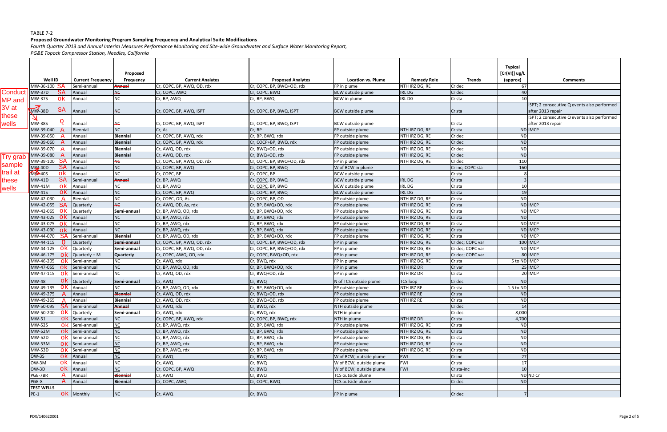## **Proposed Groundwater Monitoring Program Sampling Frequency and Analytical Suite Modifications**

Fourth Quarter 2013 and Annual Interim Measures Performance Monitoring and Site-wide Groundwater and Surface Water Monitoring Report,

|                  | Well ID                         | <b>Current Frequency</b>      | Proposed<br><b>Frequency</b> | <b>Current Analytes</b>    | <b>Proposed Analytes</b>  | <b>Location vs. Plume</b> | <b>Remedy Role</b> | <b>Trends</b>     | <b>Typical</b><br>[Cr(VI)] ug/I<br>(approx) | <b>Comments</b>                                                  |
|------------------|---------------------------------|-------------------------------|------------------------------|----------------------------|---------------------------|---------------------------|--------------------|-------------------|---------------------------------------------|------------------------------------------------------------------|
|                  | MW-36-100 SA                    | Semi-annual                   | Annual                       | Cr, COPC, BP, AWQ, OD, rdx | Cr, COPC, BP, BWQ+OD, rdx | FP in plume               | NTH IRZ DG, RE     | Cr dec            | 67                                          |                                                                  |
| Conduct          | <b>SA</b><br><b>MW-37D</b>      | Annual                        | HC                           | Cr, COPC, AWQ              | Cr, COPC, BWQ             | <b>BCW</b> outside plume  | <b>IRLDG</b>       | Cr dec            | 40                                          |                                                                  |
| <b>MP</b> and    | ok<br>MW-37S                    | Annual                        | <b>NC</b>                    | Cr, BP, AWQ                | Cr, BP, BWQ               | <b>BCW</b> in plume       | <b>IRLDG</b>       | Cr sta            | 1 <sup>1</sup>                              |                                                                  |
| $3V$ at<br>these | SA<br><b>MW-38D</b>             | Annual                        | HC                           | Cr, COPC, BP, AWQ, ISPT    | Cr, COPC, BP, BWQ, ISPT   | <b>BCW</b> outside plume  |                    | Cr sta            |                                             | ISPT; 2 consecutive Q events also performed<br>after 2013 repair |
| wells            | <b>MW-38S</b>                   | Annual                        | <b>NC</b>                    | Cr, COPC, BP, AWQ, ISPT    | Cr, COPC, BP, BWQ, ISPT   | <b>BCW</b> outside plume  |                    | Cr sta            |                                             | ISPT; 2 consecutive Q events also performed<br>after 2013 repair |
|                  | MW-39-040                       | Biennial                      | <b>NC</b>                    | Cr, As                     | Cr, BP                    | FP outside plume          | NTH IRZ DG, RE     | Cr sta            |                                             | ND IMCP                                                          |
|                  | MW-39-050                       | Annual                        | <b>Biennial</b>              | Cr, COPC, BP, AWQ, rdx     | Cr, BP, BWQ, rdx          | FP outside plume          | NTH IRZ DG, RE     | Cr dec            | <b>ND</b>                                   |                                                                  |
|                  | MW-39-060                       | Annual                        | <b>Biennial</b>              | Cr, COPC, BP, AWQ, rdx     | Cr, COCP+BP, BWQ, rdx     | FP outside plume          | NTH IRZ DG, RE     | Cr dec            | <b>ND</b>                                   |                                                                  |
|                  | MW-39-070                       | Annual                        | <b>Biennial</b>              | Cr, AWQ, OD, rdx           | Cr, BWQ+OD, rdx           | FP outside plume          | NTH IRZ DG, RE     | Cr dec            | <b>ND</b>                                   |                                                                  |
| Try grab         | MW-39-080                       | Annual                        | <b>Biennial</b>              | Cr, AWQ, OD, rdx           | Cr, BWQ+OD, rdx           | FP outside plume          | NTH IRZ DG, RE     | Cr dec            | <b>ND</b>                                   |                                                                  |
|                  | SA<br>MW-39-100                 | Annual                        | <b>NC</b>                    | Cr, COPC, BP, AWQ, OD, rdx | Cr, COPC, BP, BWQ+OD, rdx | FP in plume               | NTH IRZ DG, RE     | Cr dec            | 110                                         |                                                                  |
| sample           | <b>MW-40D</b><br><b>SA</b>      | Annual                        | <b>HE</b>                    | Cr, COPC, BP, AWQ          | Cr, COPC, BP, BWQ         | W of BCW in plume         |                    | Cr inc; COPC sta  | 160                                         |                                                                  |
| trail at         | <b>MID-40S</b><br>ok.           | Annual                        | NC                           | Cr, COPC, BP               | Cr, COPC, BP              | <b>BCW</b> outside plume  |                    | Cr sta            |                                             |                                                                  |
| these            | <b>SA</b><br><b>MW-41D</b>      | Semi-annual                   | <b>Annual</b>                | Cr, BP, AWQ                | Cr, COPC, BP, BWQ         | <b>BCW</b> outside plume  | <b>IRLDG</b>       | Cr sta            |                                             |                                                                  |
| wells            | MW-41M<br>ok                    | Annual                        | <b>NC</b>                    | Cr, BP, AWQ                | Cr, COPC, BP, BWQ         | <b>BCW</b> outside plume  | <b>IRLDG</b>       | Cr sta            | 10                                          |                                                                  |
|                  | <b>MW-41S</b><br>ok             | Annual                        | <b>NC</b>                    | Cr, COPC, BP, AWQ          | Cr, COPC, BP, BWQ         | <b>BCW</b> outside plume  | <b>IRLDG</b>       | Cr sta            | 19                                          |                                                                  |
|                  | MW-42-030                       | Biennial                      | <b>NC</b>                    | Cr, COPC, OD, As           | Cr, COPC, BP, OD          | FP outside plume          | NTH IRZ DG, RE     | Cr sta            | <b>ND</b>                                   |                                                                  |
|                  | MW-42-055<br>SA                 | Quarterly                     | <b>NE</b>                    | Cr, AWQ, OD, As, rdx       | Cr, BP, BWQ+OD, rdx       | FP outside plume          | NTH IRZ DG, RE     | Cr sta            |                                             | ND IMCP                                                          |
|                  | MW-42-065<br>-ok                | Quarterly                     | Semi-annual                  | Cr, BP, AWQ, OD, rdx       | Cr, BP, BWQ+OD, rdx       | FP outside plume          | NTH IRZ DG, RE     | Cr sta            |                                             | ND IMCP                                                          |
|                  | MW-43-025<br>-OK                | Annual                        | <b>NC</b>                    | Cr, BP, AWQ, rdx           | Cr, BP, BWQ, rdx          | FP outside plume          | NTH IRZ DG, RE     | Cr sta            | <b>ND</b>                                   |                                                                  |
|                  | MW-43-075<br>nk.                | Annual                        | <b>NC</b>                    | Cr, BP, AWQ, rdx           | Cr, BP, BWQ, rdx          | FP outside plume          | NTH IRZ DG, RE     | Cr sta            |                                             | ND IMCP                                                          |
|                  | MW-43-090<br>-ok                | Annual                        | NC                           | Cr, BP, AWQ, rdx           | Cr, BP, BWQ, rdx          | FP outside plume          | NTH IRZ DG, RE     | Cr sta            |                                             | ND IMCP                                                          |
|                  | MW-44-070<br>SA                 | Semi-annual                   | <b>Biennial</b>              | Cr, BP, AWQ, OD, rdx       | Cr, BP, BWQ+OD, rdx       | FP outside plume          | NTH IRZ DG, RE     | Cr sta            |                                             | ND IMCP                                                          |
|                  | MW-44-115                       | Quarterly                     | Semi-annual                  | Cr, COPC, BP, AWQ, OD, rdx | Cr, COPC, BP, BWQ+OD, rdx | FP in plume               | NTH IRZ DG, RE     | Cr dec; COPC var  |                                             | 100 IMCP                                                         |
|                  | MW-44-125<br>- ok               | Quarterly                     | Semi-annual                  | Cr, COPC, BP, AWQ, OD, rdx | Cr, COPC, BP, BWQ+OD, rdx | FP in plume               | NTH IRZ DG, RE     | Cr dec; COPC var  |                                             | ND IMCP                                                          |
|                  | MW-46-175<br>- ok               | Quarterly + M                 | <b>Quarterly</b>             | Cr, COPC, AWQ, OD, rdx     | Cr, COPC, BWQ+OD, rdx     | FP in plume               | NTH IRZ DG, RE     | Cr dec; COPC var  |                                             | 80 IMCP                                                          |
|                  | MW-46-205<br>ok.                | Semi-annual                   | <b>NC</b>                    | Cr, AWQ, rdx               | Cr, BWQ, rdx              | FP in plume               | NTH IRZ DG, RE     | Cr sta            | 5 to ND IMCP                                |                                                                  |
|                  | MW-47-055<br>ok.                | Semi-annual                   | <b>NC</b>                    | Cr, BP, AWQ, OD, rdx       | Cr, BP, BWQ+OD, rdx       | FP in plume               | <b>NTH IRZ DR</b>  | Cr var            |                                             | 25 IMCP                                                          |
|                  | MW-47-115<br>-ok                | Semi-annual                   | <b>NC</b>                    | Cr, AWQ, OD, rdx           | Cr, BWQ+OD, rdx           | FP in plume               | NTH IRZ DR         | Cr sta            |                                             | 20 IMCP                                                          |
|                  | 0k<br>MW-48                     | <b>Quarterly</b>              | Semi-annual                  | Cr, AWQ                    | Cr, BWQ                   | N of TCS outside plume    | <b>TCS loop</b>    | Cr dec            | <b>ND</b>                                   |                                                                  |
|                  | MW-49-135                       | OK Annual                     | <b>NC</b>                    | Cr, BP, AWQ, OD, rdx       | Cr, BP, BWQ+OD, rdx       | FP outside plume          | NTH IRZ RE         | Cr sta            | 1.5 to ND                                   |                                                                  |
|                  | MW-49-275                       | Annual                        | <b>Biennial</b>              | Cr, AWQ, OD, rdx           | Cr, BWQ+OD, rdx           | FP outside plume          | <b>NTH IRZ RE</b>  | Cr sta            | <b>ND</b>                                   |                                                                  |
|                  | MW-49-365 $\overline{A}$ Annual |                               | <b>Biennial</b>              | Cr, AWQ, OD, rdx           | Cr, BWQ+OD, rdx           | FP outside plume          | NTH IRZ RE         | Cr sta            | ND                                          |                                                                  |
|                  | MW-50-095 SA Semi-annual        |                               | Annual                       | Cr, AWQ, rdx               | Cr, BWQ, rdx              | NTH outside plume         |                    | Cr dec            | 14                                          |                                                                  |
|                  | MW-50-200<br>OK.                | Quarterly                     | Semi-annual                  | Cr, AWQ, rdx               | Cr, BWQ, rdx              | NTH in plume              |                    | Cr dec            | 8,000                                       |                                                                  |
|                  | MW-51                           | $\mathsf{ok}$ Semi-annual     | <b>NC</b>                    | Cr, COPC, BP, AWQ, rdx     | Cr, COPC, BP, BWQ, rdx    | NTH in plume              | <b>NTH IRZ DR</b>  | Cr sta            | 4,700                                       |                                                                  |
|                  | <b>MW-52S</b><br>ok             | Semi-annual                   | $NC$                         | Cr, BP, AWQ, rdx           | Cr, BP, BWQ, rdx          | FP outside plume          | NTH IRZ DG, RE     | Cr sta            | <b>ND</b>                                   |                                                                  |
|                  | <b>MW-52M</b>                   | $\mathsf{ok}$ Semi-annual     | NC                           | Cr, BP, AWQ, rdx           | Cr, BP, BWQ, rdx          | FP outside plume          | NTH IRZ DG, RE     | Cr sta            | <b>ND</b>                                   |                                                                  |
|                  | <b>MW-52D</b>                   | $\overline{OK}$ Semi-annual   | <b>NC</b>                    | Cr, BP, AWQ, rdx           | Cr, BP, BWQ, rdx          | FP outside plume          | NTH IRZ DG, RE     | Cr sta            | <b>ND</b>                                   |                                                                  |
|                  | <b>MW-53M</b>                   | $\mathsf{ok}$ Semi-annual     | <b>NC</b>                    | Cr, BP, AWQ, rdx           | Cr, BP, BWQ, rdx          | FP outside plume          | NTH IRZ DG, RE     | Cr sta            | ND                                          |                                                                  |
|                  | <b>MW-53D</b>                   | $\overline{OK}$ Semi-annual   | NC                           | Cr, BP, AWQ, rdx           | Cr, BP, BWQ, rdx          | FP outside plume          | NTH IRZ DG, RE     | Cr sta            | <b>ND</b>                                   |                                                                  |
|                  | OW-3S                           | $OK$ Annual                   | NC                           | Cr, AWQ                    | Cr, BWQ                   | W of BCW, outside plume   | <b>FWI</b>         | Cr inc            | 27                                          |                                                                  |
|                  | OW-3M                           | $\overline{\text{ok}}$ Annual | <b>NC</b>                    | Cr, AWQ                    | Cr, BWQ                   | W of BCW, outside plume   | <b>FWI</b>         | Cr <sub>sta</sub> | 17                                          |                                                                  |
|                  | OW-3D<br>ok                     | Annual                        | <b>NC</b>                    | Cr, COPC, BP, AWQ          | Cr, BWQ                   | W of BCW, outside plume   | <b>FWI</b>         | Cr sta-inc        | 10                                          |                                                                  |
|                  | PGE-7BR<br>A                    | Annual                        | <b>Biennial</b>              | Cr, AWQ                    | Cr, BWQ                   | TCS outside plume         |                    | Cr sta            |                                             | ND ND Cr                                                         |
|                  | PGE-8                           | Annual                        | <b>Biennial</b>              | Cr, COPC, AWQ              | Cr, COPC, BWQ             | TCS outside plume         |                    | Cr dec            | <b>ND</b>                                   |                                                                  |
|                  | <b>TEST WELLS</b>               |                               |                              |                            |                           |                           |                    |                   |                                             |                                                                  |
|                  | $PE-1$                          | ok Monthly                    | NC                           | Cr, AWQ                    | Cr, BWQ                   | FP in plume               |                    | Cr dec            | 7                                           |                                                                  |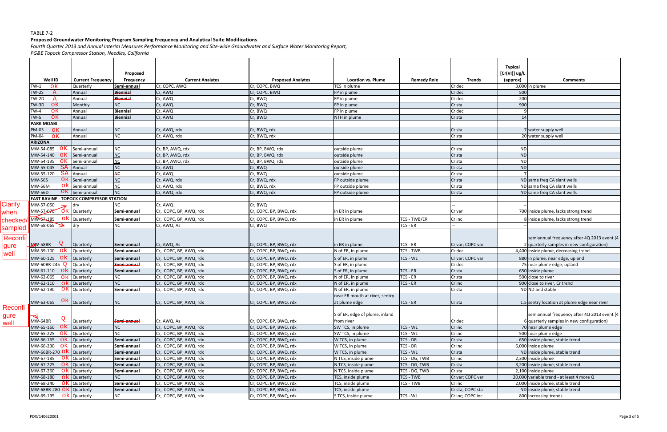## **Proposed Groundwater Monitoring Program Sampling Frequency and Analytical Suite Modifications**

Fourth Quarter 2013 and Annual Interim Measures Performance Monitoring and Site-wide Groundwater and Surface Water Monitoring Report,

|                         | Well ID                                | <b>Current Frequency</b>                       | Proposed<br><b>Frequency</b> | <b>Current Analytes</b>               | <b>Proposed Analytes</b>                         | <b>Location vs. Plume</b>                       | <b>Remedy Role</b>           | <b>Trends</b>              | <b>Typical</b><br>[Cr(VI)] ug/I<br>(approx) | <b>Comments</b>                                                                                                                  |
|-------------------------|----------------------------------------|------------------------------------------------|------------------------------|---------------------------------------|--------------------------------------------------|-------------------------------------------------|------------------------------|----------------------------|---------------------------------------------|----------------------------------------------------------------------------------------------------------------------------------|
|                         | $TW-1$<br>0k                           | Quarterly                                      | Semi-annual                  | Cr, COPC, AWQ                         | Cr, COPC, BWQ                                    | TCS in plume                                    |                              | Cr dec                     |                                             | 3,000 in plume                                                                                                                   |
|                         | <b>TW-2S</b><br>$\mathbb{A}$           | Annual                                         | <b>Biennial</b>              | Cr, AWQ                               | Cr, COPC, BWQ                                    | FP in plume                                     |                              | Cr dec                     | 500                                         |                                                                                                                                  |
|                         | TW-2D<br>A                             | Annual                                         | <b>Biennial</b>              | Cr, AWQ                               | Cr, BWQ                                          | FP in plume                                     |                              | Cr dec                     | 200                                         |                                                                                                                                  |
|                         | ok<br>TW-3D                            | Monthly                                        | NC                           | Cr, AWQ                               | Cr, BWQ                                          | FP in plume                                     |                              | Cr sta                     | 900                                         |                                                                                                                                  |
|                         | ok<br>$TW-4$                           | Annual                                         | <b>Biennial</b>              | Cr, AWQ                               | Cr, BWQ                                          | FP in plume                                     |                              | Cr dec                     |                                             |                                                                                                                                  |
|                         | ok<br>$TW-5$                           | Annual                                         | <b>Biennial</b>              | Cr, AWQ                               | Cr, BWQ                                          | NTH in plume                                    |                              | Cr <sub>sta</sub>          | 14                                          |                                                                                                                                  |
|                         | <b>PARK MOABI</b>                      |                                                |                              |                                       |                                                  |                                                 |                              |                            |                                             |                                                                                                                                  |
|                         | PM-03<br>ok                            | Annual                                         | NC.                          | Cr, AWQ, rdx                          | Cr, BWQ, rdx                                     |                                                 |                              | Cr <sub>sta</sub>          |                                             | 7 water supply well                                                                                                              |
|                         | ok<br>PM-04                            | Annual                                         | ΝC                           | Cr, AWQ, rdx                          | Cr, BWQ, rdx                                     |                                                 |                              | Cr sta                     |                                             | 20 water supply well                                                                                                             |
|                         | <b>ARIZONA</b>                         |                                                |                              |                                       |                                                  |                                                 |                              |                            |                                             |                                                                                                                                  |
|                         | ok.<br>MW-54-085                       | Semi-annual                                    |                              | Cr, BP, AWQ, rdx                      | Cr, BP, BWQ, rdx                                 | outside plume                                   |                              | Cr sta                     | <b>ND</b>                                   |                                                                                                                                  |
|                         | MW-54-140<br>-ok                       | Semi-annual                                    | <b>NC</b>                    | Cr, BP, AWQ, rdx                      | Cr, BP, BWQ, rdx                                 | outside plume                                   |                              | Cr sta                     | <b>ND</b>                                   |                                                                                                                                  |
|                         | MW-54-195<br>.ok                       | Semi-annual                                    | NC                           | Cr, BP, AWQ, rdx                      | Cr, BP, BWQ, rdx                                 | outside plume                                   |                              | Cr sta                     | <b>ND</b>                                   |                                                                                                                                  |
|                         | MW-55-045                              | SA Annual                                      | ЖĖ                           | Cr, AWQ                               | Cr, BWQ                                          | outside plume                                   |                              | Cr sta                     | <b>ND</b>                                   |                                                                                                                                  |
|                         | SA<br>MW-55-120                        | Annual                                         | ЖÇ                           | Cr, AWQ                               | Cr, BWQ                                          | outside plume                                   |                              | Cr sta                     |                                             |                                                                                                                                  |
|                         | <b>MW-56S</b>                          | $\mathsf{ok}$ Semi-annual                      | <b>NC</b>                    | Cr, AWQ, rdx                          | Cr, BWQ, rdx                                     | FP outside plume                                |                              | Cr <sub>sta</sub>          |                                             | ND same freq CA slant wells                                                                                                      |
|                         | <b>MW-56M</b>                          | OK Semi-annual                                 | <u>NC</u>                    | Cr, AWQ, rdx                          | Cr, BWQ, rdx                                     | FP outside plume                                |                              | Cr sta                     |                                             | ND same freq CA slant wells                                                                                                      |
|                         | <b>MW-56D</b>                          | $\overline{OK}$ Semi-annual                    | NC                           | Cr, AWQ, rdx                          | Cr, BWQ, rdx                                     | FP outside plume                                |                              | Cr <sub>sta</sub>          |                                             | ND same freq CA slant wells                                                                                                      |
|                         |                                        | <b>EAST RAVINE - TOPOCK COMPRESSOR STATION</b> |                              |                                       |                                                  |                                                 |                              |                            |                                             |                                                                                                                                  |
| <b>Clarify</b>          | MW-57-050                              | dry                                            | ΝC                           | Cr, AWQ                               | Cr, BWQ                                          |                                                 |                              |                            |                                             |                                                                                                                                  |
| when                    | MW-57-070                              | <b>6k</b> Quarterly                            | Semi-annual                  | Cr, COPC, BP, AWQ, rdx                | Cr, COPC, BP, BWQ, rdx                           | in ER in plume                                  |                              | Cr var                     |                                             | 700 inside plume, lacks strong trend                                                                                             |
| checked/                | ok<br>MW-57-185                        | Quarterly                                      | Semi-annual                  | Cr, COPC, BP, AWQ, rdx                | Cr, COPC, BP, BWQ, rdx                           | in ER in plume                                  | <b>TCS - TWB/ER</b>          | Cr inc                     |                                             | 8 inside plume, lacks strong trend                                                                                               |
| sampled                 | MW-58-065                              | dry                                            | NC                           | Cr, AWQ, As                           | Cr, BWQ                                          |                                                 | TCS - ER                     |                            |                                             |                                                                                                                                  |
| Reconfi<br>gure<br>well | Q<br>MW-58BR<br>MW-59-100<br>- ok      | Quarterly<br>Quarterly                         | Semi-annual<br>Semi-annual   | Cr, AWQ, As<br>Cr, COPC, BP, AWQ, rdx | Cr, COPC, BP, BWQ, rdx<br>Cr, COPC, BP, BWQ, rdx | in ER in plume<br>N of ER, in plume             | TCS - ER<br><b>TCS - TWB</b> | Cr var; COPC var<br>Cr dec |                                             | semiannual frequency after 4Q 2013 event (4<br>2 quarterly samples in new configuration)<br>4,400 inside plume, decreasing trend |
|                         | MW-60-125 OK                           | Quarterly                                      | Semi-annual                  | Cr, COPC, BP, AWQ, rdx                | Cr, COPC, BP, BWQ, rdx                           | S of ER, in plume                               | TCS - WL                     | Cr var; COPC var           |                                             | 880 in plume, near edge, upland                                                                                                  |
|                         | MW-60BR-245 O                          | Quarterly                                      | Semi-annual                  | Cr, COPC, BP, AWQ, rdx                | Cr, COPC, BP, BWQ, rdx                           | S of ER, in plume                               |                              | Cr dec                     |                                             | 75 near plume edge, upland                                                                                                       |
|                         | MW-61-110<br>.ok                       | Quarterly                                      | Semi-annual                  | Cr, COPC, BP, AWQ, rdx                | Cr, COPC, BP, BWQ, rdx                           | S of ER, in plume                               | TCS - ER                     | Cr <sub>sta</sub>          |                                             | 650 inside plume                                                                                                                 |
|                         | MW-62-065                              | Quarterly                                      | NС                           | Cr, COPC, BP, AWQ, rdx                | Cr, COPC, BP, BWQ, rdx                           | N of ER, in plume                               | TCS - ER                     | Cr sta                     |                                             | 500 close to river                                                                                                               |
|                         | MW-62-110<br>.ok                       | Quarterly                                      | NC                           | Cr, COPC, BP, AWQ, rdx                | Cr, COPC, BP, BWQ, rdx                           | N of ER, in plume                               | TCS - ER                     | Cr inc                     |                                             | 900 close to river, Cr trend                                                                                                     |
|                         | MW-62-190<br>ok.                       | Quarterly                                      | Semi-annual                  | Cr, COPC, BP, AWQ, rdx                | Cr, COPC, BP, BWQ, rdx                           | N of ER, in plume                               |                              | Cr sta                     |                                             | ND ND and stable                                                                                                                 |
|                         | MW-63-065 OK Quarterly                 |                                                | NC                           | Cr, COPC, BP, AWQ, rdx                | Cr, COPC, BP, BWQ, rdx                           | near ER mouth at river, sentry<br>at plume edge | TCS - ER                     |                            |                                             | 1.5 sentry location at plume edge near river                                                                                     |
| Reconfi<br> gure        |                                        |                                                |                              |                                       |                                                  | S of ER, edge of plume, inland                  |                              | <b>LCr</b> sta             |                                             | semiannual frequency after 4Q 2013 event (4                                                                                      |
| <b>well</b>             | Q<br>MW-64BR                           | Quarterly                                      | Semi-annual                  | Cr, AWQ, As                           | Cr, COPC, BP, BWQ, rdx                           | from river                                      |                              | Cr dec                     |                                             | 6 quarterly samples in new configuration)                                                                                        |
|                         | MW-65-160 OK                           | Quarterly                                      | NC                           | Cr, COPC, BP, AWQ, rdx                | Cr, COPC, BP, BWQ, rdx                           | SW TCS, in plume                                | TCS - WL                     | Cr inc                     |                                             | 70 near plume edge                                                                                                               |
|                         | MW-65-225 $\sigma$ k                   | Quarterly                                      | NС                           | Cr, COPC, BP, AWQ, rdx                | Cr, COPC, BP, BWQ, rdx                           | SW TCS, in plume                                | TCS - WL                     | Cr inc                     |                                             | 500 near plume edge                                                                                                              |
|                         | MW-66-165 OK                           | Quarterly                                      | Semi-annual                  | Cr, COPC, BP, AWQ, rdx                | Cr, COPC, BP, BWQ, rdx                           | W TCS, in plume                                 | TCS - DR                     | Cr sta                     |                                             | 650 inside plume, stable trend                                                                                                   |
|                         | MW-66-230 OK                           | Quarterly                                      | Semi-annual                  | Cr, COPC, BP, AWQ, rdx                | Cr, COPC, BP, BWQ, rdx                           | W TCS, in plume                                 | TCS - DR                     | Cr inc                     |                                             | 6,000 inside plume                                                                                                               |
|                         | MW-66BR-270 O $\overline{k}$ Quarterly |                                                | Semi-annual                  | Cr, COPC, BP, AWQ, rdx                | Cr, COPC, BP, BWQ, rdx                           | W TCS, in plume                                 | TCS - WL                     | Cr <sub>sta</sub>          |                                             | ND inside plume, stable trend                                                                                                    |
|                         | MW-67-185<br>- OK                      | Quarterly                                      | Semi-annual                  | Cr, COPC, BP, AWQ, rdx                | Cr, COPC, BP, BWQ, rdx                           | N TCS, inside plume                             | TCS - DG, TWB                | Cr inc                     |                                             | 2,300 inside plume                                                                                                               |
|                         | MW-67-225                              | <b>Ok</b> Quarterly                            | Semi-annual                  | Cr, COPC, BP, AWQ, rdx                | Cr, COPC, BP, BWQ, rdx                           | N TCS, inside plume                             | TCS - DG, TWB                | Cr <sub>sta</sub>          |                                             | 3,200 inside plume, stable trend                                                                                                 |
|                         | MW-67-260<br>ok                        | Quarterly                                      | Semi-annual                  | Cr, COPC, BP, AWQ, rdx                | Cr, COPC, BP, BWQ, rdx                           | N TCS, inside plume                             | TCS - DG, TWB                | Cr sta                     |                                             | 2,100 inside plume                                                                                                               |
|                         | MW-68-180                              | ok Quarterly                                   | NC.                          | Cr, COPC, BP, AWQ, rdx                | Cr, COPC, BP, BWQ, rdx                           | TCS, inside plume                               | <b>TCS - TWB</b>             | Cr var; COPC var           |                                             | 20,000 variable trend - at least 4 more Q                                                                                        |
|                         | MW-68-240 O $\overline{k}$ Quarterly   |                                                | Semi-annual                  | Cr, COPC, BP, AWQ, rdx                | Cr, COPC, BP, BWQ, rdx                           | TCS, inside plume                               | <b>TCS - TWB</b>             | Cr inc                     |                                             | 2,000 inside plume, stable trend                                                                                                 |
|                         | MW-68BR-280 Ok Quarterly               |                                                | Semi-annual                  | Cr, COPC, BP, AWQ, rdx                | Cr, COPC, BP, BWQ, rdx                           | TCS, inside plume                               |                              | Cr sta; COPC sta           |                                             | ND inside plume, stable trend                                                                                                    |
|                         | $MW-69-195$ OK Quarterly               |                                                | NC                           | Cr, COPC, BP, AWQ, rdx                | Cr, COPC, BP, BWQ, rdx                           | S TCS, inside plume                             | TCS - WL                     | Cr inc; COPC inc           |                                             | 800 increasing trends                                                                                                            |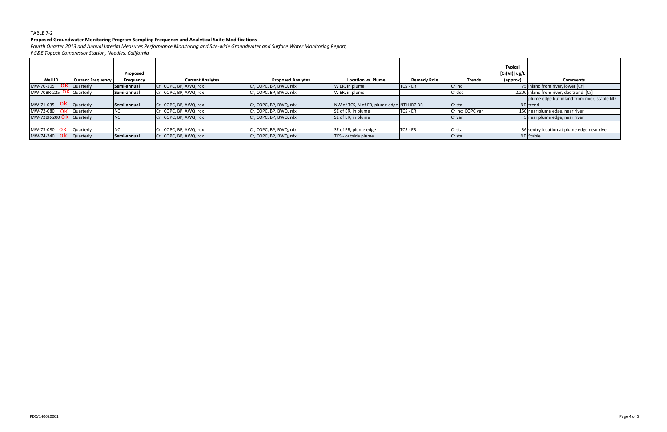### **Proposed Groundwater Monitoring Program Sampling Frequency and Analytical Suite Modifications**

Fourth Quarter 2013 and Annual Interim Measures Performance Monitoring and Site-wide Groundwater and Surface Water Monitoring Report,

| 75 inland from river, lower [Cr]<br>Cr, COPC, BP, AWQ, rdx<br>Cr. COPC, BP, BWQ, rdx<br>W ER, in plume<br>TCS - ER<br>Cr inc                                                          |
|---------------------------------------------------------------------------------------------------------------------------------------------------------------------------------------|
|                                                                                                                                                                                       |
| 2,200 inland from river, dec trend [Cr]<br>W ER, in plume<br>Cr. COPC, BP, AWQ, rdx<br>Cr, COPC, BP, BWQ, rdx<br>Cr dec                                                               |
| plume edge but inland from river, stable ND<br>Cr, COPC, BP, AWQ, rdx<br>NW of TCS, N of ER, plume edge NTH IRZ DR<br>Cr, COPC, BP, BWQ, rdx<br><b>ND</b> Itrend<br>Cr <sub>sta</sub> |
| SE of ER, in plume<br>TCS - ER<br>150 near plume edge, near river<br>Cr, COPC, BP, AWQ, rdx<br>Cr, COPC, BP, BWQ, rdx<br>Cr inc; COPC var                                             |
| SE of ER, in plume<br>Cr, COPC, BP, AWQ, rdx<br>Cr, COPC, BP, BWQ, rdx<br>5 near plume edge, near river<br>Cr var                                                                     |
| TCS - ER<br>SE of ER, plume edge<br>Cr. COPC, BP, BWQ, rdx<br>36 sentry location at plume edge near river<br>Cr. COPC, BP, AWQ, rdx<br>Cr sta                                         |
| ND Stable<br>Cr. COPC, BP, AWQ, rdx<br>Cr, COPC, BP, BWQ, rdx<br>TCS - outside plume<br><b>Cr</b> sta                                                                                 |